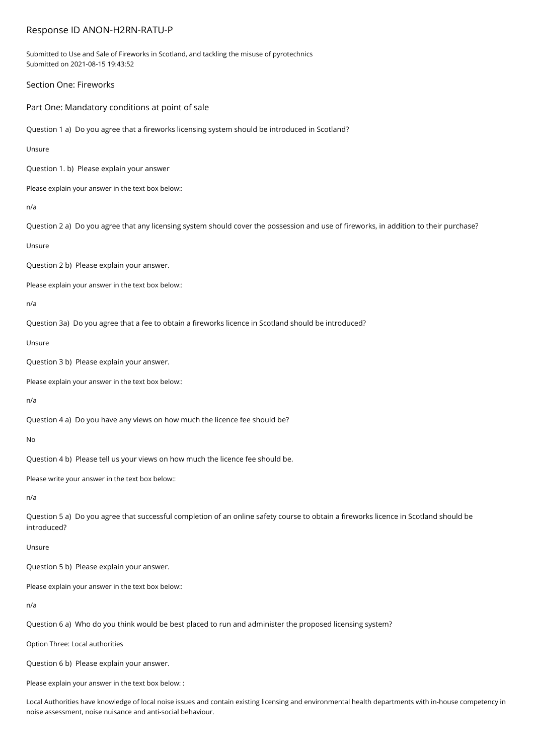## Response ID ANON-H2RN-RATU-P

Submitted to Use and Sale of Fireworks in Scotland, and tackling the misuse of pyrotechnics Submitted on 2021-08-15 19:43:52

Section One: Fireworks

Part One: Mandatory conditions at point of sale

Question 1 a) Do you agree that a fireworks licensing system should be introduced in Scotland?

Unsure

Question 1. b) Please explain your answer

Please explain your answer in the text box below::

n/a

Question 2 a) Do you agree that any licensing system should cover the possession and use of fireworks, in addition to their purchase?

Unsure

Question 2 b) Please explain your answer.

Please explain your answer in the text box below::

n/a

Question 3a) Do you agree that a fee to obtain a fireworks licence in Scotland should be introduced?

Unsure

Question 3 b) Please explain your answer.

Please explain your answer in the text box below::

n/a

Question 4 a) Do you have any views on how much the licence fee should be?

No

Question 4 b) Please tell us your views on how much the licence fee should be.

Please write your answer in the text box below::

n/a

Question 5 a) Do you agree that successful completion of an online safety course to obtain a fireworks licence in Scotland should be introduced?

Unsure

Question 5 b) Please explain your answer.

Please explain your answer in the text box below::

n/a

Question 6 a) Who do you think would be best placed to run and administer the proposed licensing system?

Option Three: Local authorities

Question 6 b) Please explain your answer.

Please explain your answer in the text box below: :

Local Authorities have knowledge of local noise issues and contain existing licensing and environmental health departments with in-house competency in noise assessment, noise nuisance and anti-social behaviour.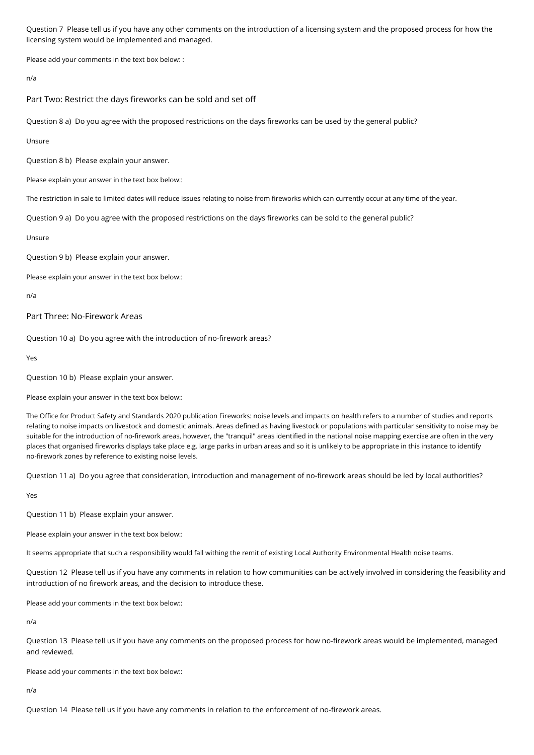Question 7 Please tell us if you have any other comments on the introduction of a licensing system and the proposed process for how the licensing system would be implemented and managed.

Please add your comments in the text box below: :

n/a

Part Two: Restrict the days fireworks can be sold and set off

Question 8 a) Do you agree with the proposed restrictions on the days fireworks can be used by the general public?

Unsure

Question 8 b) Please explain your answer.

Please explain your answer in the text box below::

The restriction in sale to limited dates will reduce issues relating to noise from fireworks which can currently occur at any time of the year.

Question 9 a) Do you agree with the proposed restrictions on the days fireworks can be sold to the general public?

Unsure

Question 9 b) Please explain your answer.

Please explain your answer in the text box below::

n/a

Part Three: No-Firework Areas

Question 10 a) Do you agree with the introduction of no-firework areas?

Yes

Question 10 b) Please explain your answer.

Please explain your answer in the text box below::

The Office for Product Safety and Standards 2020 publication Fireworks: noise levels and impacts on health refers to a number of studies and reports relating to noise impacts on livestock and domestic animals. Areas defined as having livestock or populations with particular sensitivity to noise may be suitable for the introduction of no-firework areas, however, the "tranquil" areas identified in the national noise mapping exercise are often in the very places that organised fireworks displays take place e.g. large parks in urban areas and so it is unlikely to be appropriate in this instance to identify no-firework zones by reference to existing noise levels.

Question 11 a) Do you agree that consideration, introduction and management of no-firework areas should be led by local authorities?

Yes

Question 11 b) Please explain your answer.

Please explain your answer in the text box below::

It seems appropriate that such a responsibility would fall withing the remit of existing Local Authority Environmental Health noise teams.

Question 12 Please tell us if you have any comments in relation to how communities can be actively involved in considering the feasibility and introduction of no firework areas, and the decision to introduce these.

Please add your comments in the text box below::

n/a

Question 13 Please tell us if you have any comments on the proposed process for how no-firework areas would be implemented, managed and reviewed.

Please add your comments in the text box below::

n/a

Question 14 Please tell us if you have any comments in relation to the enforcement of no-firework areas.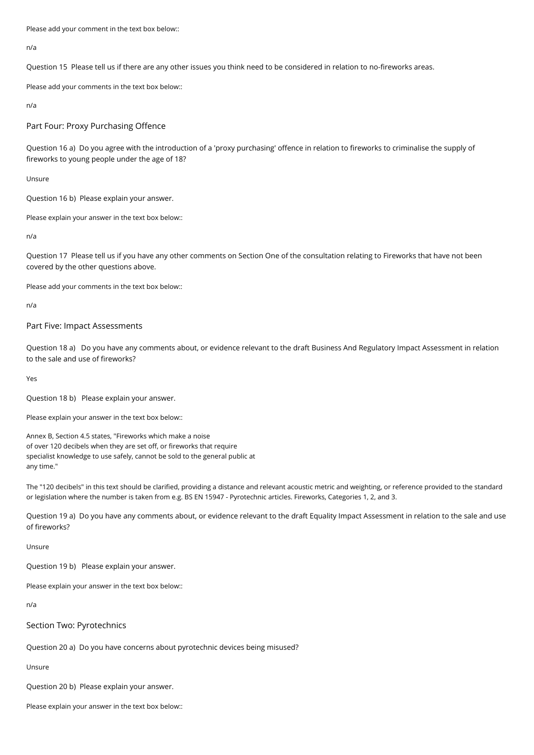Please add your comment in the text box below::

n/a

Question 15 Please tell us if there are any other issues you think need to be considered in relation to no-fireworks areas.

Please add your comments in the text box below::

n/a

Part Four: Proxy Purchasing Offence

Question 16 a) Do you agree with the introduction of a 'proxy purchasing' offence in relation to fireworks to criminalise the supply of fireworks to young people under the age of 18?

Unsure

Question 16 b) Please explain your answer.

Please explain your answer in the text box below::

n/a

Question 17 Please tell us if you have any other comments on Section One of the consultation relating to Fireworks that have not been covered by the other questions above.

Please add your comments in the text box below::

n/a

## Part Five: Impact Assessments

Question 18 a) Do you have any comments about, or evidence relevant to the draft Business And Regulatory Impact Assessment in relation to the sale and use of fireworks?

Yes

Question 18 b) Please explain your answer.

Please explain your answer in the text box below::

Annex B, Section 4.5 states, "Fireworks which make a noise of over 120 decibels when they are set off, or fireworks that require specialist knowledge to use safely, cannot be sold to the general public at any time."

The "120 decibels" in this text should be clarified, providing a distance and relevant acoustic metric and weighting, or reference provided to the standard or legislation where the number is taken from e.g. BS EN 15947 - Pyrotechnic articles. Fireworks, Categories 1, 2, and 3.

Question 19 a) Do you have any comments about, or evidence relevant to the draft Equality Impact Assessment in relation to the sale and use of fireworks?

Unsure

Question 19 b) Please explain your answer.

Please explain your answer in the text box below::

n/a

Section Two: Pyrotechnics

Question 20 a) Do you have concerns about pyrotechnic devices being misused?

Unsure

Question 20 b) Please explain your answer.

Please explain your answer in the text box below::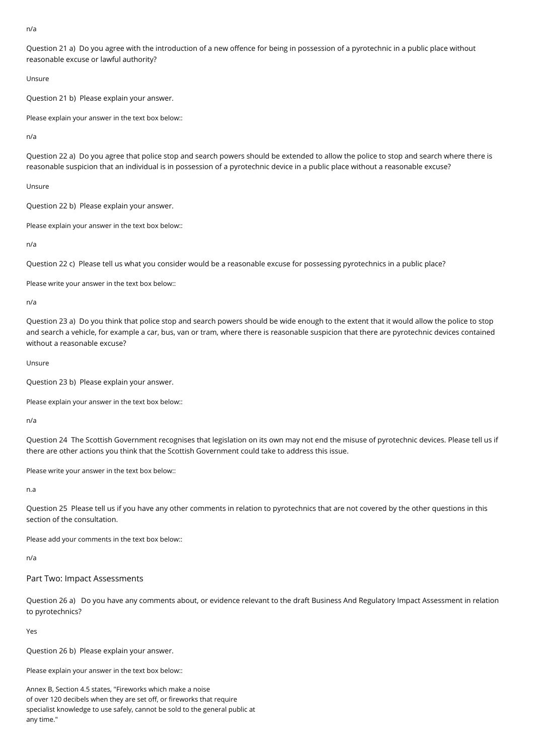n/a

Question 21 a) Do you agree with the introduction of a new offence for being in possession of a pyrotechnic in a public place without reasonable excuse or lawful authority?

Unsure

Question 21 b) Please explain your answer.

Please explain your answer in the text box below::

n/a

Question 22 a) Do you agree that police stop and search powers should be extended to allow the police to stop and search where there is reasonable suspicion that an individual is in possession of a pyrotechnic device in a public place without a reasonable excuse?

Unsure

Question 22 b) Please explain your answer.

Please explain your answer in the text box below::

n/a

Question 22 c) Please tell us what you consider would be a reasonable excuse for possessing pyrotechnics in a public place?

Please write your answer in the text box below::

n/a

Question 23 a) Do you think that police stop and search powers should be wide enough to the extent that it would allow the police to stop and search a vehicle, for example a car, bus, van or tram, where there is reasonable suspicion that there are pyrotechnic devices contained without a reasonable excuse?

Unsure

Question 23 b) Please explain your answer.

Please explain your answer in the text box below::

n/a

Question 24 The Scottish Government recognises that legislation on its own may not end the misuse of pyrotechnic devices. Please tell us if there are other actions you think that the Scottish Government could take to address this issue.

Please write your answer in the text box below::

n.a

Question 25 Please tell us if you have any other comments in relation to pyrotechnics that are not covered by the other questions in this section of the consultation.

Please add your comments in the text box below::

n/a

Part Two: Impact Assessments

Question 26 a) Do you have any comments about, or evidence relevant to the draft Business And Regulatory Impact Assessment in relation to pyrotechnics?

Yes

Question 26 b) Please explain your answer.

Please explain your answer in the text box below::

Annex B, Section 4.5 states, "Fireworks which make a noise of over 120 decibels when they are set off, or fireworks that require specialist knowledge to use safely, cannot be sold to the general public at any time."